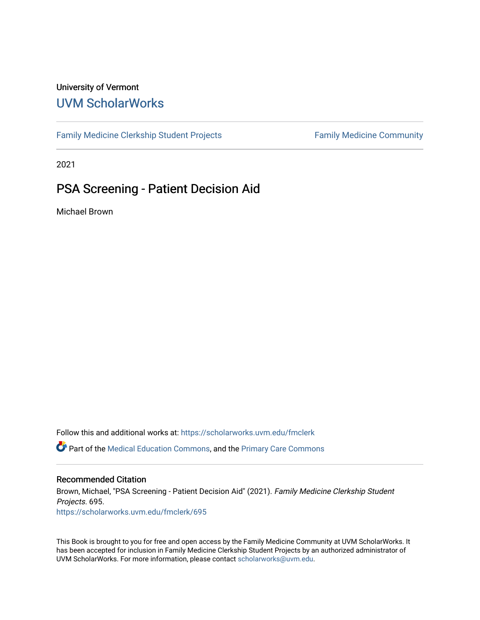#### University of Vermont [UVM ScholarWorks](https://scholarworks.uvm.edu/)

[Family Medicine Clerkship Student Projects](https://scholarworks.uvm.edu/fmclerk) Family Medicine Community

2021

#### PSA Screening - Patient Decision Aid

Michael Brown

Follow this and additional works at: [https://scholarworks.uvm.edu/fmclerk](https://scholarworks.uvm.edu/fmclerk?utm_source=scholarworks.uvm.edu%2Ffmclerk%2F695&utm_medium=PDF&utm_campaign=PDFCoverPages)  Part of the [Medical Education Commons,](http://network.bepress.com/hgg/discipline/1125?utm_source=scholarworks.uvm.edu%2Ffmclerk%2F695&utm_medium=PDF&utm_campaign=PDFCoverPages) and the [Primary Care Commons](http://network.bepress.com/hgg/discipline/1092?utm_source=scholarworks.uvm.edu%2Ffmclerk%2F695&utm_medium=PDF&utm_campaign=PDFCoverPages) 

#### Recommended Citation

Brown, Michael, "PSA Screening - Patient Decision Aid" (2021). Family Medicine Clerkship Student Projects. 695. [https://scholarworks.uvm.edu/fmclerk/695](https://scholarworks.uvm.edu/fmclerk/695?utm_source=scholarworks.uvm.edu%2Ffmclerk%2F695&utm_medium=PDF&utm_campaign=PDFCoverPages) 

This Book is brought to you for free and open access by the Family Medicine Community at UVM ScholarWorks. It has been accepted for inclusion in Family Medicine Clerkship Student Projects by an authorized administrator of UVM ScholarWorks. For more information, please contact [scholarworks@uvm.edu.](mailto:scholarworks@uvm.edu)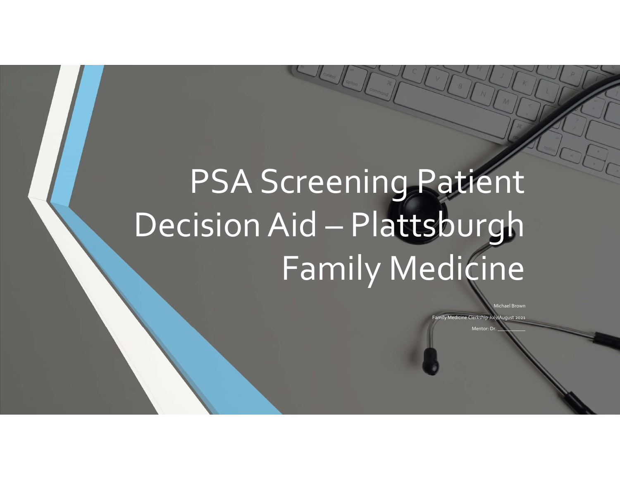# PSA Screening Patient Decision Aid – Plattsburgh Family Medicine

Michael Brown

Family Medicine Clerkship July/August 2021

Mentor: D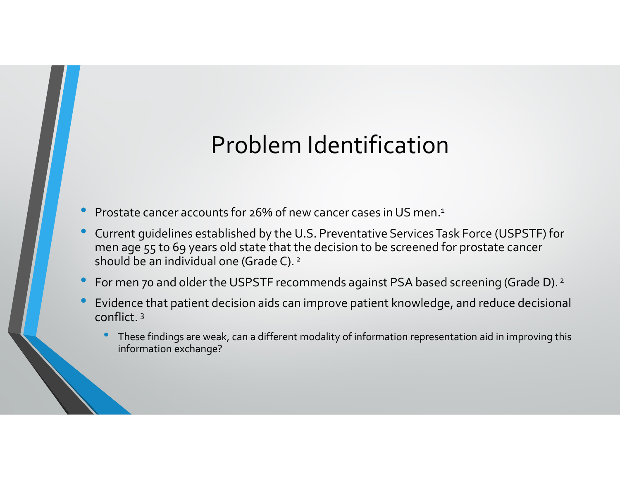## Problem Identification

- Prostate cancer accounts for 26% of new cancer cases in US men.1
- Current guidelines established by the U.S. Preventative Services Task Force (USPSTF) for men age 55 to 69 years old state that the decision to be screened for prostate cancer should be an individual one (Grade C).<sup>2</sup>
- For men 70 and older the USPSTF recommends against PSA based screening (Grade D). <sup>2</sup>
- Evidence that patient decision aids can improve patient knowledge, and reduce decisional conflict. 3
	- These findings are weak, can a different modality of information representation aid in improving this information exchange?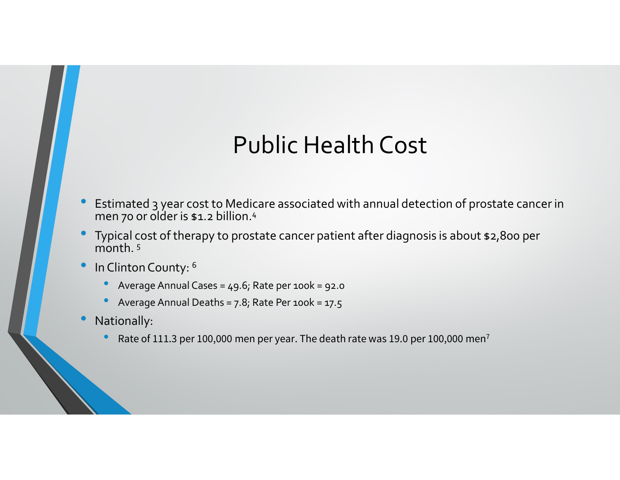## Public Health Cost

- Estimated 3 year cost to Medicare associated with annual detection of prostate cancer in<br>• Typical cost of therapy to prostate cancer patient after diagnosis is about \$2,800 per<br>• Typical cost of therapy to prostate canc Estimated 3 year cost to Medicare associated with annual detection of prostate cancer in men 70 or older is \$1.2 billion.<sup>4</sup>
- Typical cost of therapy to prostate cancer patient after diagnosis is about \$2,800 per  $m$ onth.  $5$
- In Clinton County: 6
	- Average Annual Cases = 49.6; Rate per 100k = 92.0
	- Average Annual Deaths =  $7.8$ ; Rate Per 100 $k = 17.5$
- Nationally:
	- Rate of 111.3 per 100,000 men per year. The death rate was 19.0 per 100,000 men<sup>7</sup>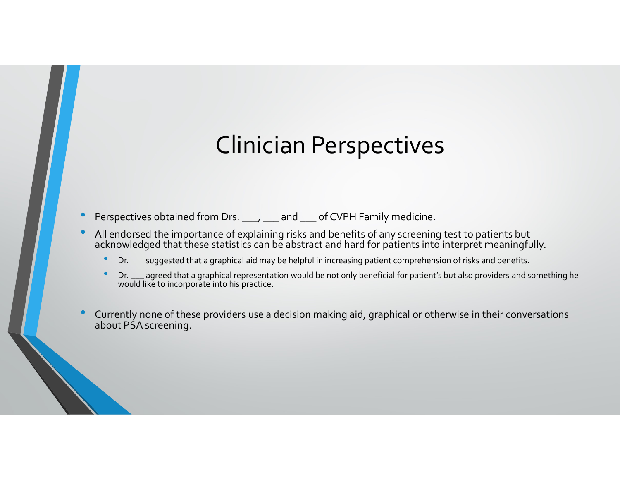#### Clinician Perspectives

- Perspectives obtained from Drs. \_\_\_, \_\_\_ and \_\_\_ of CVPH Family medicine.
- All endorsed the importance of explaining risks and benefits of any screening test to patients but acknowledged that these statistics can be abstract and hard for patients into interpret meaningfully.
	- Dr. \_\_\_ suggested that a graphical aid may be helpful in increasing patient comprehension of risks and benefits.
	- Dr. \_\_\_ agreed that a graphical representation would be not only beneficial for patient's but also providers and something he would like to incorporate into his practice.
- Perspectives obtained from Drs. \_\_\_\_\_\_ and \_\_\_ of CVPH Family medicine.<br>• All endorsed the importance of explaining risks and benefits of any screening test to patients but acknowledged that these statistics can be abstr about PSA screening.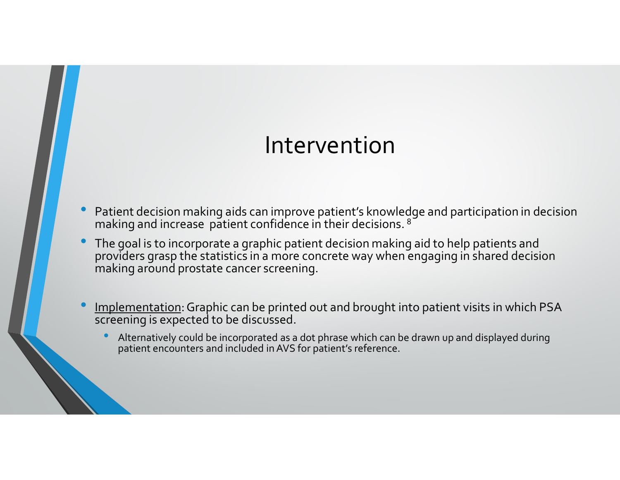#### Intervention

- Patient decision making aids can improve patient's knowledge and participation in decision making and increase patient confidence in their decisions. <sup>8</sup>
- The goal is to incorporate a graphic patient decision making aid to help patients and providers grasp the statistics in a more concrete way when engaging in shared decision making around prostate cancer screening. Figure 2011 IT Alternatively and increase patient confidence in their decisions.<sup>8</sup><br>the goal is to incorporate a graphic patient decision making aid to help patients and<br>the goal is to incorporate a graphic patient decisio
- Implementation: Graphic can be printed out and brought into patient visits in which PSA screening is expected to be discussed.
	-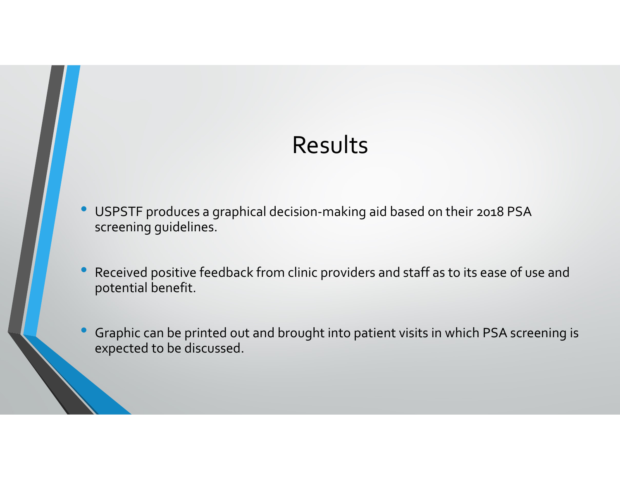#### Results

- USPSTF produces a graphical decision-making aid based on their 2018 PSA screening guidelines.
- Received positive feedback from clinic providers and staff as to its ease of use and potential benefit.
- Graphic can be printed out and brought into patient visits in which PSA screening is expected to be discussed.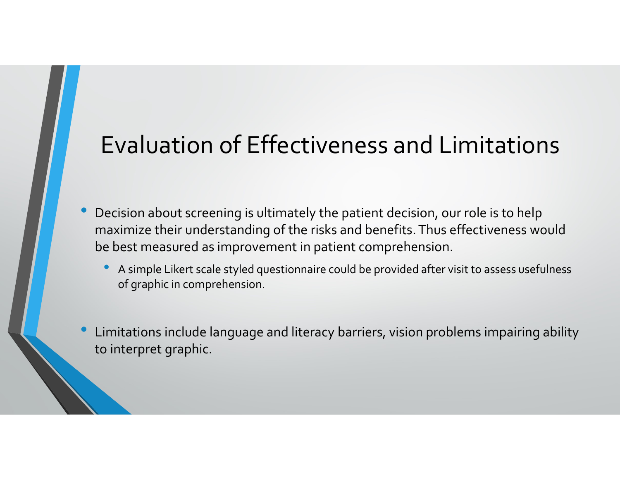### Evaluation of Effectiveness and Limitations

- Decision about screening is ultimately the patient decision, our role is to help **Evaluation of Effectiveness and Limitations**<br>Decision about screening is ultimately the patient decision, our role is to help<br>maximize their understanding of the risks and benefits. Thus effectiveness would<br>be best measur be best measured as improvement in patient comprehension.
	- A simple Likert scale styled questionnaire could be provided after visit to assess usefulness of graphic in comprehension.
- Limitations include language and literacy barriers, vision problems impairing ability to interpret graphic.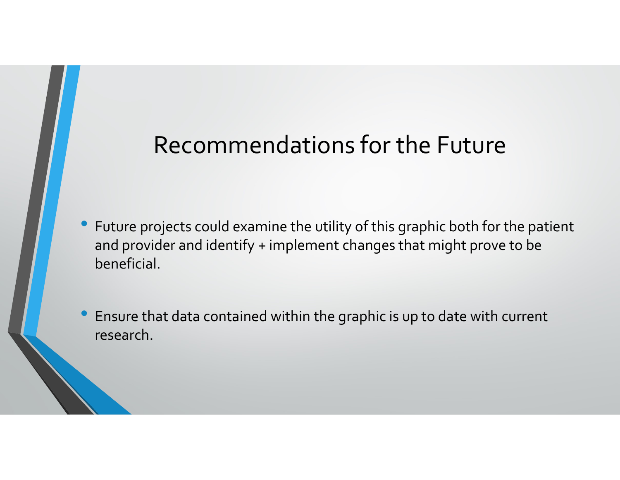#### Recommendations for the Future

- Future projects could examine the utility of this graphic both for the patient and provider and identify + implement changes that might prove to be beneficial.
- Ensure that data contained within the graphic is up to date with current research.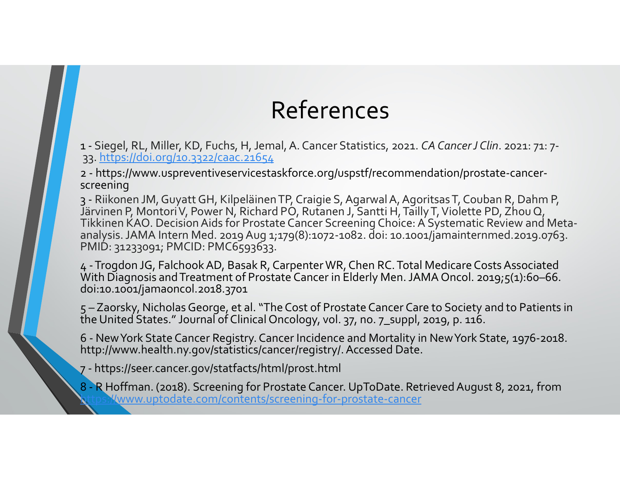# References

**References**<br>1 - Siegel, RL, Miller, KD, Fuchs, H, Jemal, A. Cancer Statistics, 2021. *CA Cancer J Clin.* 2021: 71: 7-<br>33. https://doi.org/20.3322/caac.21654<br>2- https://www.uspreventiveservicestaskforce.org/uspstf/recommen 33. https://doi.org/10.3322/caac.21654

screening

**References**<br>2 - Siegel, RL, Miller, KD, Fuchs, H, Jemal, A. Cancer Statistics, 2021. *CA Cancer J Clin.* 2021: 71:<br>33. https://www.uspreventiveservicestaskforce.org/uspstf/recommendation/prostate-cancer-<br>2- https://www.us **References**<br>33. https://doi.org/10.3222/caac.21654<br>33. https://doi.org/10.3222/caac.21654<br>2. https://www.uspreventiveservicestaskforce.org/uspstf/recommendation/prostate-cancer-<br>37. Rikonen JM, Guyatt GH, Kilpeläinen TP, **References**<br> **References**<br> **References**<br> **References**<br> **References**<br> **Reference**<br> **Reference**<br> **Reference**<br> **Reference**<br> **Reference**<br> **Reference**<br> **Reference**<br> **Reference**<br> **Reference**<br> **Reference**<br> **Reference**<br> **Referenc** analysis. JAMA Intern Med. 2019 Aug 1;179(8):1072-1082. doi: 10.1001/jamainternmed.2019.0763.<br>PMID: 31233091; PMCID: PMC6593633. 1 - Siegel, RL, Miller, KD, Fuchs, H, Jemal, A. Cancer Statistics, 2021. *CA Cancer J Clin.* 2021: 71: 7-<br>
33. https://doi.org/10.3322/caac.21654<br>
26. https://www.uspreventiveservicestaskforce.org/uspstf/recommendation/pro THET ETTICES<br>
1 - Siegel, RL, Miller, KD, Fuchs, H, Jemal, A. Cancer Statistics, 2021. CA Cancer J Clin. 2021: 71: 7-<br>
33. https://www.uspreventiveservicestaskforce.org/uspstf/recommendation/prostate-cancer-<br>
screening<br>
2 1 - Siegel, RL, Miller, KD, Fuchs, H, Jemal, A. Cancer Statistics, 2021. CA Cancer J Clin. 2021: 71: 7-<br>
33. https://doi.org/10.3322/caac.21654<br>
2 - https://www.uspreventiveservicestaskforce.org/uspstf/recommendation/prost 2 - https://www.uspreventiveservicestaskrorce.org/uspstr/recor<br>screening<br>3 - Riikonen JM, Guyatt GH, Kilpeläinen TP, Craigie S, Agarwal A<br>Järvinen P, Montori V, Power N, Richard PO, Rutanen J, Santti H<br>Tikkinen KAO. Decisi 3 - Riikonen JM, Guyatt GH, Kilpeläinen TP, Craigie S, Agarwal A, Agoritsas T, Couban R, Dahm P,<br>Järvinen P, Montori V, Power N, Richard PO, Rutanen J, Santti H, Tailly T, Violette PD, Zhou Q,<br>Tikkinen KAO. Decision Aids f

With Diagnosis and Treatment of Prostate Cancer in Elderly Men. JAMA Oncol. 2019;5(1):60-66.<br>doi:10.1001/jamaoncol.2018.3701